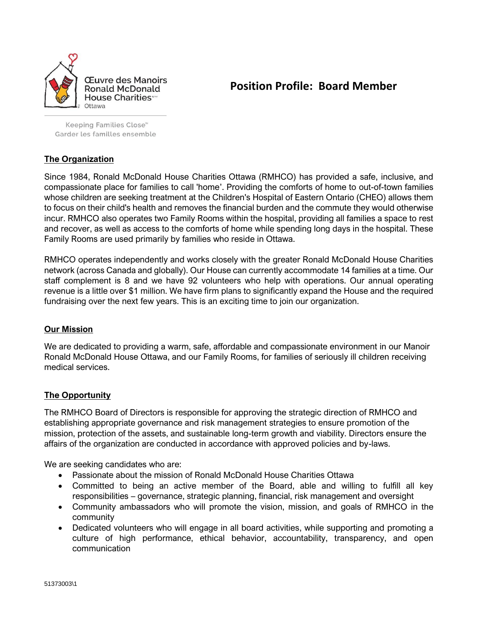

**Position Profile: Board Member**

Keeping Families Close<sup>®</sup> Garder les familles ensemble

# **The Organization**

Since 1984, Ronald McDonald House Charities Ottawa (RMHCO) has provided a safe, inclusive, and compassionate place for families to call 'home'. Providing the comforts of home to out-of-town families whose children are seeking treatment at the Children's Hospital of Eastern Ontario (CHEO) allows them to focus on their child's health and removes the financial burden and the commute they would otherwise incur. RMHCO also operates two Family Rooms within the hospital, providing all families a space to rest and recover, as well as access to the comforts of home while spending long days in the hospital. These Family Rooms are used primarily by families who reside in Ottawa.

RMHCO operates independently and works closely with the greater Ronald McDonald House Charities network (across Canada and globally). Our House can currently accommodate 14 families at a time. Our staff complement is 8 and we have 92 volunteers who help with operations. Our annual operating revenue is a little over \$1 million. We have firm plans to significantly expand the House and the required fundraising over the next few years. This is an exciting time to join our organization.

### **Our Mission**

We are dedicated to providing a warm, safe, affordable and compassionate environment in our Manoir Ronald McDonald House Ottawa, and our Family Rooms, for families of seriously ill children receiving medical services.

## **The Opportunity**

The RMHCO Board of Directors is responsible for approving the strategic direction of RMHCO and establishing appropriate governance and risk management strategies to ensure promotion of the mission, protection of the assets, and sustainable long-term growth and viability. Directors ensure the affairs of the organization are conducted in accordance with approved policies and by-laws.

We are seeking candidates who are:

- Passionate about the mission of Ronald McDonald House Charities Ottawa
- Committed to being an active member of the Board, able and willing to fulfill all key responsibilities – governance, strategic planning, financial, risk management and oversight
- Community ambassadors who will promote the vision, mission, and goals of RMHCO in the community
- Dedicated volunteers who will engage in all board activities, while supporting and promoting a culture of high performance, ethical behavior, accountability, transparency, and open communication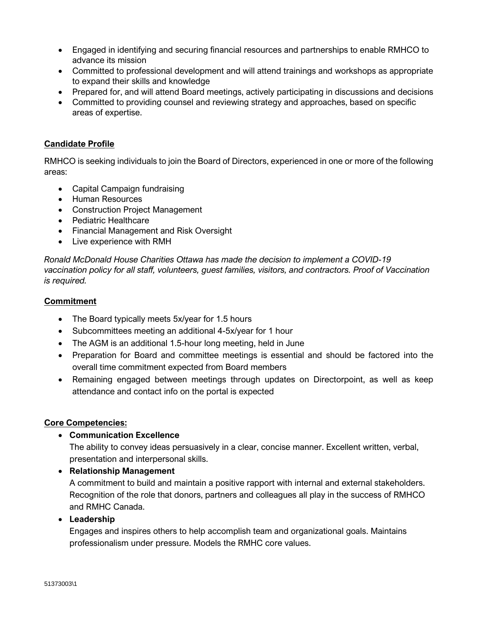- Engaged in identifying and securing financial resources and partnerships to enable RMHCO to advance its mission
- Committed to professional development and will attend trainings and workshops as appropriate to expand their skills and knowledge
- Prepared for, and will attend Board meetings, actively participating in discussions and decisions
- Committed to providing counsel and reviewing strategy and approaches, based on specific areas of expertise.

### **Candidate Profile**

RMHCO is seeking individuals to join the Board of Directors, experienced in one or more of the following areas:

- Capital Campaign fundraising
- Human Resources
- Construction Project Management
- Pediatric Healthcare
- Financial Management and Risk Oversight
- Live experience with RMH

*Ronald McDonald House Charities Ottawa has made the decision to implement a COVID-19 vaccination policy for all staff, volunteers, guest families, visitors, and contractors. Proof of Vaccination is required.* 

### **Commitment**

- The Board typically meets 5x/year for 1.5 hours
- Subcommittees meeting an additional 4-5x/year for 1 hour
- The AGM is an additional 1.5-hour long meeting, held in June
- Preparation for Board and committee meetings is essential and should be factored into the overall time commitment expected from Board members
- Remaining engaged between meetings through updates on Directorpoint, as well as keep attendance and contact info on the portal is expected

### **Core Competencies:**

• **Communication Excellence**

The ability to convey ideas persuasively in a clear, concise manner. Excellent written, verbal, presentation and interpersonal skills.

• **Relationship Management**

A commitment to build and maintain a positive rapport with internal and external stakeholders. Recognition of the role that donors, partners and colleagues all play in the success of RMHCO and RMHC Canada.

### • **Leadership**

Engages and inspires others to help accomplish team and organizational goals. Maintains professionalism under pressure. Models the RMHC core values.